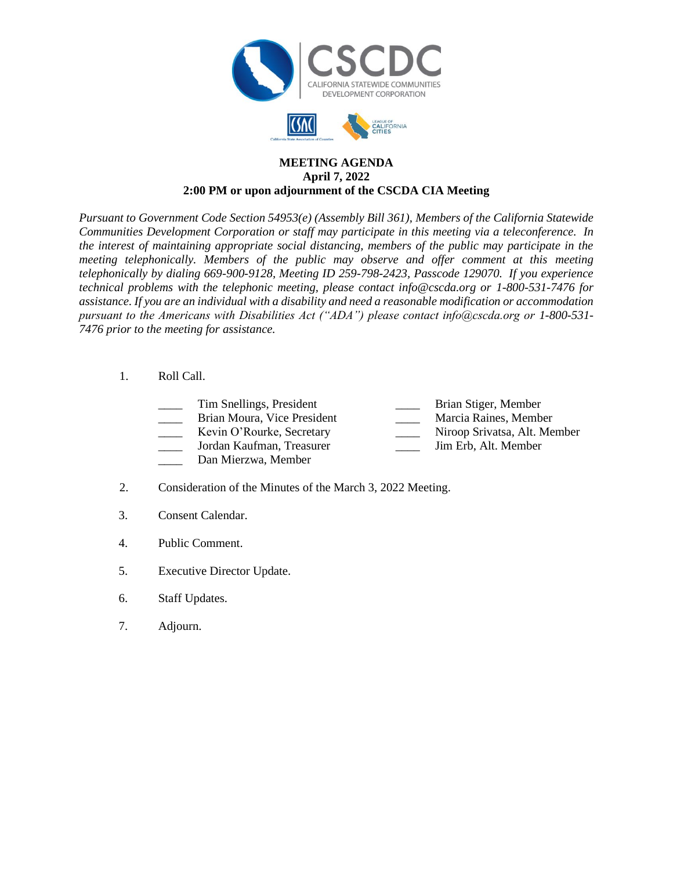



## **MEETING AGENDA April 7, 2022 2:00 PM or upon adjournment of the CSCDA CIA Meeting**

*Pursuant to Government Code Section 54953(e) (Assembly Bill 361), Members of the California Statewide Communities Development Corporation or staff may participate in this meeting via a teleconference. In the interest of maintaining appropriate social distancing, members of the public may participate in the meeting telephonically. Members of the public may observe and offer comment at this meeting telephonically by dialing 669-900-9128, Meeting ID 259-798-2423, Passcode 129070. If you experience technical problems with the telephonic meeting, please contact info@cscda.org or 1-800-531-7476 for assistance. If you are an individual with a disability and need a reasonable modification or accommodation pursuant to the Americans with Disabilities Act ("ADA") please contact info@cscda.org or 1-800-531- 7476 prior to the meeting for assistance.*

- 1. Roll Call.
	- Tim Snellings, President **Example 2** Brian Stiger, Member
	- Brian Moura, Vice President Marcia Raines, Member
	- \_\_\_\_ Kevin O'Rourke, Secretary \_\_\_\_ Niroop Srivatsa, Alt. Member
	- \_\_\_\_ Jordan Kaufman, Treasurer \_\_\_\_ Jim Erb, Alt. Member
	-
	- Dan Mierzwa, Member
- 2. Consideration of the Minutes of the March 3, 2022 Meeting.
- 3. Consent Calendar.
- 4. Public Comment.
- 5. Executive Director Update.
- 6. Staff Updates.
- 7. Adjourn.